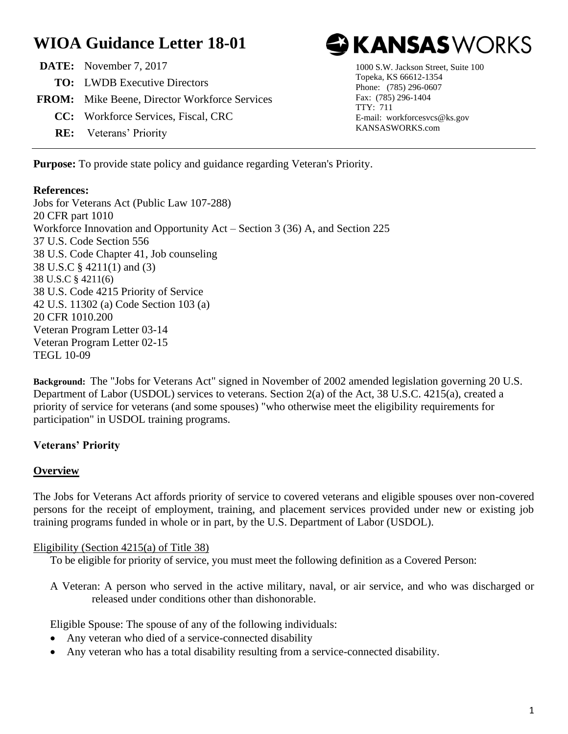# **WIOA Guidance Letter 18-01**

| <b>DATE:</b> November 7, 2017                        |
|------------------------------------------------------|
| <b>TO:</b> LWDB Executive Directors                  |
| <b>FROM:</b> Mike Beene, Director Workforce Services |
| <b>CC:</b> Workforce Services, Fiscal, CRC           |
| <b>RE:</b> Veterans' Priority                        |



1000 S.W. Jackson Street, Suite 100 Topeka, KS 66612-1354 Phone: (785) 296-0607 Fax: (785) 296-1404 TTY: 711 E-mail: workforcesvcs@ks.gov KANSASWORKS.com

**Purpose:** To provide state policy and guidance regarding Veteran's Priority.

#### **References:**

Jobs for Veterans Act (Public Law 107-288) 20 CFR part 1010 Workforce Innovation and Opportunity Act – Section 3 (36) A, and Section 225 37 U.S. Code Section 556 38 U.S. Code Chapter 41, Job counseling 38 U.S.C § 4211(1) and (3) 38 U.S.C § 4211(6) 38 U.S. Code 4215 Priority of Service 42 U.S. 11302 (a) Code Section 103 (a) 20 CFR 1010.200 Veteran Program Letter 03-14 Veteran Program Letter 02-15 TEGL 10-09

**Background:** The "Jobs for Veterans Act" signed in November of 2002 amended legislation governing 20 U.S. Department of Labor (USDOL) services to veterans. Section 2(a) of the Act, 38 U.S.C. 4215(a), created a priority of service for veterans (and some spouses) "who otherwise meet the eligibility requirements for participation" in USDOL training programs.

## **Veterans' Priority**

## **Overview**

The Jobs for Veterans Act affords priority of service to covered veterans and eligible spouses over non-covered persons for the receipt of employment, training, and placement services provided under new or existing job training programs funded in whole or in part, by the U.S. Department of Labor (USDOL).

## Eligibility (Section 4215(a) of Title 38)

To be eligible for priority of service, you must meet the following definition as a Covered Person:

A Veteran: A person who served in the active military, naval, or air service, and who was discharged or released under conditions other than dishonorable.

Eligible Spouse: The spouse of any of the following individuals:

- Any veteran who died of a service-connected disability
- Any veteran who has a total disability resulting from a service-connected disability.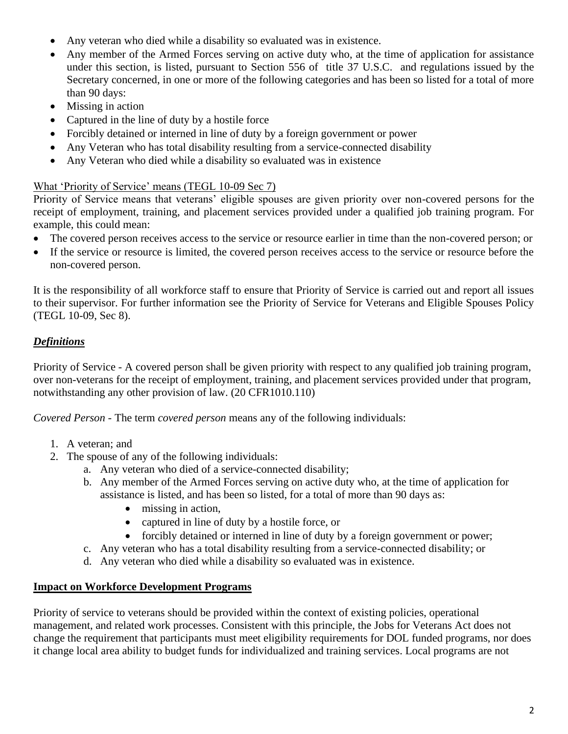- Any veteran who died while a disability so evaluated was in existence.
- Any member of the Armed Forces serving on active duty who, at the time of application for assistance under this section, is listed, pursuant to Section 556 of title 37 U.S.C. and regulations issued by the Secretary concerned, in one or more of the following categories and has been so listed for a total of more than 90 days:
- Missing in action
- Captured in the line of duty by a hostile force
- Forcibly detained or interned in line of duty by a foreign government or power
- Any Veteran who has total disability resulting from a service-connected disability
- Any Veteran who died while a disability so evaluated was in existence

## What 'Priority of Service' means (TEGL 10-09 Sec 7)

Priority of Service means that veterans' eligible spouses are given priority over non-covered persons for the receipt of employment, training, and placement services provided under a qualified job training program. For example, this could mean:

- The covered person receives access to the service or resource earlier in time than the non-covered person; or
- If the service or resource is limited, the covered person receives access to the service or resource before the non-covered person.

It is the responsibility of all workforce staff to ensure that Priority of Service is carried out and report all issues to their supervisor. For further information see the Priority of Service for Veterans and Eligible Spouses Policy (TEGL 10-09, Sec 8).

## *Definitions*

Priority of Service - A covered person shall be given priority with respect to any qualified job training program, over non-veterans for the receipt of employment, training, and placement services provided under that program, notwithstanding any other provision of law. (20 CFR1010.110)

*Covered Person* - The term *covered person* means any of the following individuals:

- 1. A veteran; and
- 2. The spouse of any of the following individuals:
	- a. Any veteran who died of a service-connected disability;
		- b. Any member of the Armed Forces serving on active duty who, at the time of application for assistance is listed, and has been so listed, for a total of more than 90 days as:
			- missing in action,
			- captured in line of duty by a hostile force, or
			- forcibly detained or interned in line of duty by a foreign government or power;
		- c. Any veteran who has a total disability resulting from a service-connected disability; or
		- d. Any veteran who died while a disability so evaluated was in existence.

## **Impact on Workforce Development Programs**

Priority of service to veterans should be provided within the context of existing policies, operational management, and related work processes. Consistent with this principle, the Jobs for Veterans Act does not change the requirement that participants must meet eligibility requirements for DOL funded programs, nor does it change local area ability to budget funds for individualized and training services. Local programs are not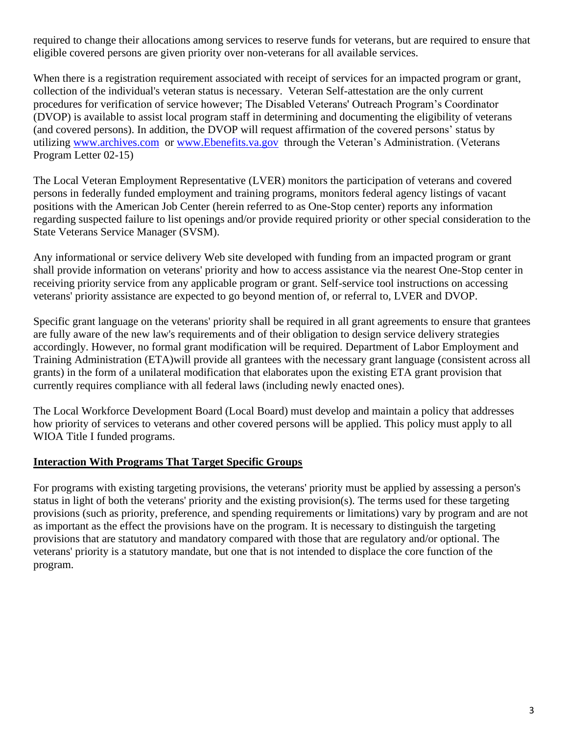required to change their allocations among services to reserve funds for veterans, but are required to ensure that eligible covered persons are given priority over non-veterans for all available services.

When there is a registration requirement associated with receipt of services for an impacted program or grant, collection of the individual's veteran status is necessary. Veteran Self-attestation are the only current procedures for verification of service however; The Disabled Veterans' Outreach Program's Coordinator (DVOP) is available to assist local program staff in determining and documenting the eligibility of veterans (and covered persons). In addition, the DVOP will request affirmation of the covered persons' status by utilizing [www.archives.com](http://www.archives.com/) or [www.Ebenefits.va.gov](http://www.ebenefits.va.gov/) through the Veteran's Administration. (Veterans Program Letter 02-15)

The Local Veteran Employment Representative (LVER) monitors the participation of veterans and covered persons in federally funded employment and training programs, monitors federal agency listings of vacant positions with the American Job Center (herein referred to as One-Stop center) reports any information regarding suspected failure to list openings and/or provide required priority or other special consideration to the State Veterans Service Manager (SVSM).

Any informational or service delivery Web site developed with funding from an impacted program or grant shall provide information on veterans' priority and how to access assistance via the nearest One-Stop center in receiving priority service from any applicable program or grant. Self-service tool instructions on accessing veterans' priority assistance are expected to go beyond mention of, or referral to, LVER and DVOP.

Specific grant language on the veterans' priority shall be required in all grant agreements to ensure that grantees are fully aware of the new law's requirements and of their obligation to design service delivery strategies accordingly. However, no formal grant modification will be required. Department of Labor Employment and Training Administration (ETA)will provide all grantees with the necessary grant language (consistent across all grants) in the form of a unilateral modification that elaborates upon the existing ETA grant provision that currently requires compliance with all federal laws (including newly enacted ones).

The Local Workforce Development Board (Local Board) must develop and maintain a policy that addresses how priority of services to veterans and other covered persons will be applied. This policy must apply to all WIOA Title I funded programs.

## **Interaction With Programs That Target Specific Groups**

For programs with existing targeting provisions, the veterans' priority must be applied by assessing a person's status in light of both the veterans' priority and the existing provision(s). The terms used for these targeting provisions (such as priority, preference, and spending requirements or limitations) vary by program and are not as important as the effect the provisions have on the program. It is necessary to distinguish the targeting provisions that are statutory and mandatory compared with those that are regulatory and/or optional. The veterans' priority is a statutory mandate, but one that is not intended to displace the core function of the program.